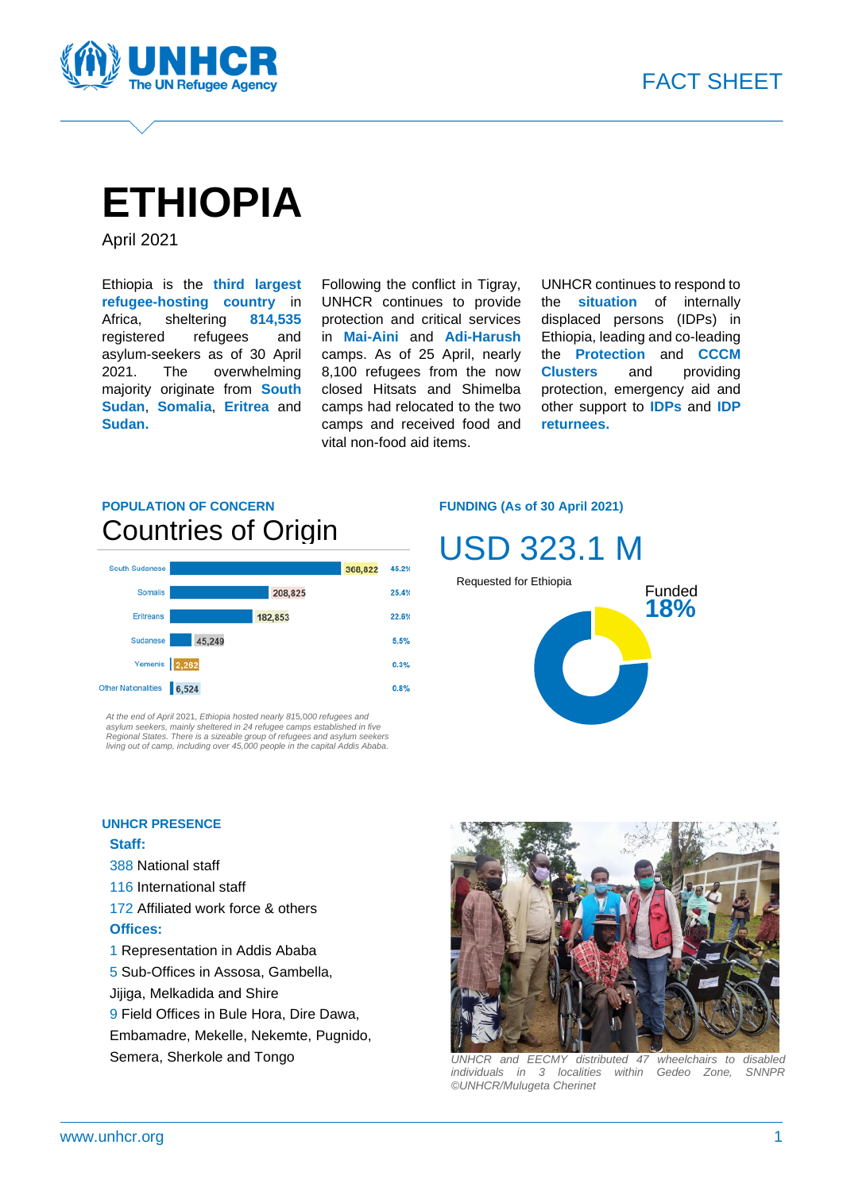

# **ETHIOPIA**

April 2021

Ethiopia is the **third largest refugee-hosting country** in Africa, sheltering **814,535** registered refugees and asylum-seekers as of 30 April 2021. The overwhelming majority originate from **South Sudan**, **Somalia**, **Eritrea** and **Sudan.**

Following the conflict in Tigray, UNHCR continues to provide protection and critical services in **Mai-Aini** and **Adi-Harush** camps. As of 25 April, nearly 8,100 refugees from the now closed Hitsats and Shimelba camps had relocated to the two camps and received food and vital non-food aid items.

UNHCR continues to respond to the **situation** of internally displaced persons (IDPs) in Ethiopia, leading and co-leading the **Protection** and **CCCM Clusters** and providing protection, emergency aid and other support to **IDPs** and **IDP returnees.**

### **POPULATION OF CONCERN** Countries of Origin



At the end of April 2021, Ethiopia hosted nearly 815,000 refugees and<br>asylum seekers, mainly sheltered in 24 refugee camps established in five<br>Regional States. There is a sizeable group of refugees and asylum seekers *living out of camp, including over 45,000 people in the capital Addis Ababa.*

#### **FUNDING (As of 30 April 2021)**



#### **UNHCR PRESENCE**

#### **Staff:**

- 388 National staff
- 116 International staff
- 172 Affiliated work force & others
- **Offices:**
- 1 Representation in Addis Ababa
- 5 Sub-Offices in Assosa, Gambella,
- Jijiga, Melkadida and Shire
- 9 Field Offices in Bule Hora, Dire Dawa,
- Embamadre, Mekelle, Nekemte, Pugnido,
- Semera, Sherkole and Tongo



*UNHCR and EECMY distributed 47 wheelchairs to disabled individuals in 3 localities within Gedeo Zone, SNNPR ©UNHCR/Mulugeta Cherinet*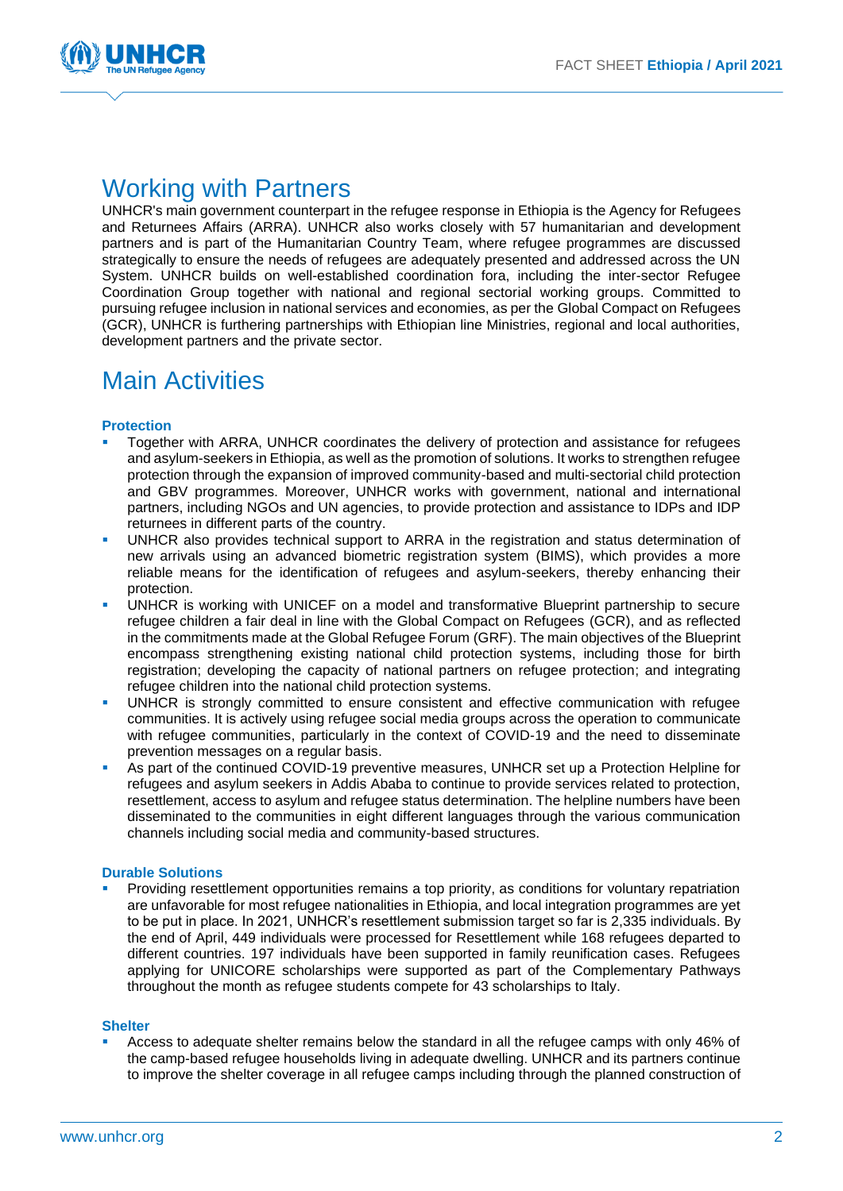

### Working with Partners

UNHCR's main government counterpart in the refugee response in Ethiopia is the Agency for Refugees and Returnees Affairs (ARRA). UNHCR also works closely with 57 humanitarian and development partners and is part of the Humanitarian Country Team, where refugee programmes are discussed strategically to ensure the needs of refugees are adequately presented and addressed across the UN System. UNHCR builds on well-established coordination fora, including the inter-sector Refugee Coordination Group together with national and regional sectorial working groups. Committed to pursuing refugee inclusion in national services and economies, as per the Global Compact on Refugees (GCR), UNHCR is furthering partnerships with Ethiopian line Ministries, regional and local authorities, development partners and the private sector.

### Main Activities

#### **Protection**

- Together with ARRA, UNHCR coordinates the delivery of protection and assistance for refugees and asylum-seekers in Ethiopia, as well as the promotion of solutions. It works to strengthen refugee protection through the expansion of improved community-based and multi-sectorial child protection and GBV programmes. Moreover, UNHCR works with government, national and international partners, including NGOs and UN agencies, to provide protection and assistance to IDPs and IDP returnees in different parts of the country.
- UNHCR also provides technical support to ARRA in the registration and status determination of new arrivals using an advanced biometric registration system (BIMS), which provides a more reliable means for the identification of refugees and asylum-seekers, thereby enhancing their protection.
- UNHCR is working with UNICEF on a model and transformative Blueprint partnership to secure refugee children a fair deal in line with the Global Compact on Refugees (GCR), and as reflected in the commitments made at the Global Refugee Forum (GRF). The main objectives of the Blueprint encompass strengthening existing national child protection systems, including those for birth registration; developing the capacity of national partners on refugee protection; and integrating refugee children into the national child protection systems.
- UNHCR is strongly committed to ensure consistent and effective communication with refugee communities. It is actively using refugee social media groups across the operation to communicate with refugee communities, particularly in the context of COVID-19 and the need to disseminate prevention messages on a regular basis.
- As part of the continued COVID-19 preventive measures, UNHCR set up a Protection Helpline for refugees and asylum seekers in Addis Ababa to continue to provide services related to protection, resettlement, access to asylum and refugee status determination. The helpline numbers have been disseminated to the communities in eight different languages through the various communication channels including social media and community-based structures.

#### **Durable Solutions**

Providing resettlement opportunities remains a top priority, as conditions for voluntary repatriation are unfavorable for most refugee nationalities in Ethiopia, and local integration programmes are yet to be put in place. In 2021, UNHCR's resettlement submission target so far is 2,335 individuals. By the end of April, 449 individuals were processed for Resettlement while 168 refugees departed to different countries. 197 individuals have been supported in family reunification cases. Refugees applying for UNICORE scholarships were supported as part of the Complementary Pathways throughout the month as refugee students compete for 43 scholarships to Italy.

#### **Shelter**

▪ Access to adequate shelter remains below the standard in all the refugee camps with only 46% of the camp-based refugee households living in adequate dwelling. UNHCR and its partners continue to improve the shelter coverage in all refugee camps including through the planned construction of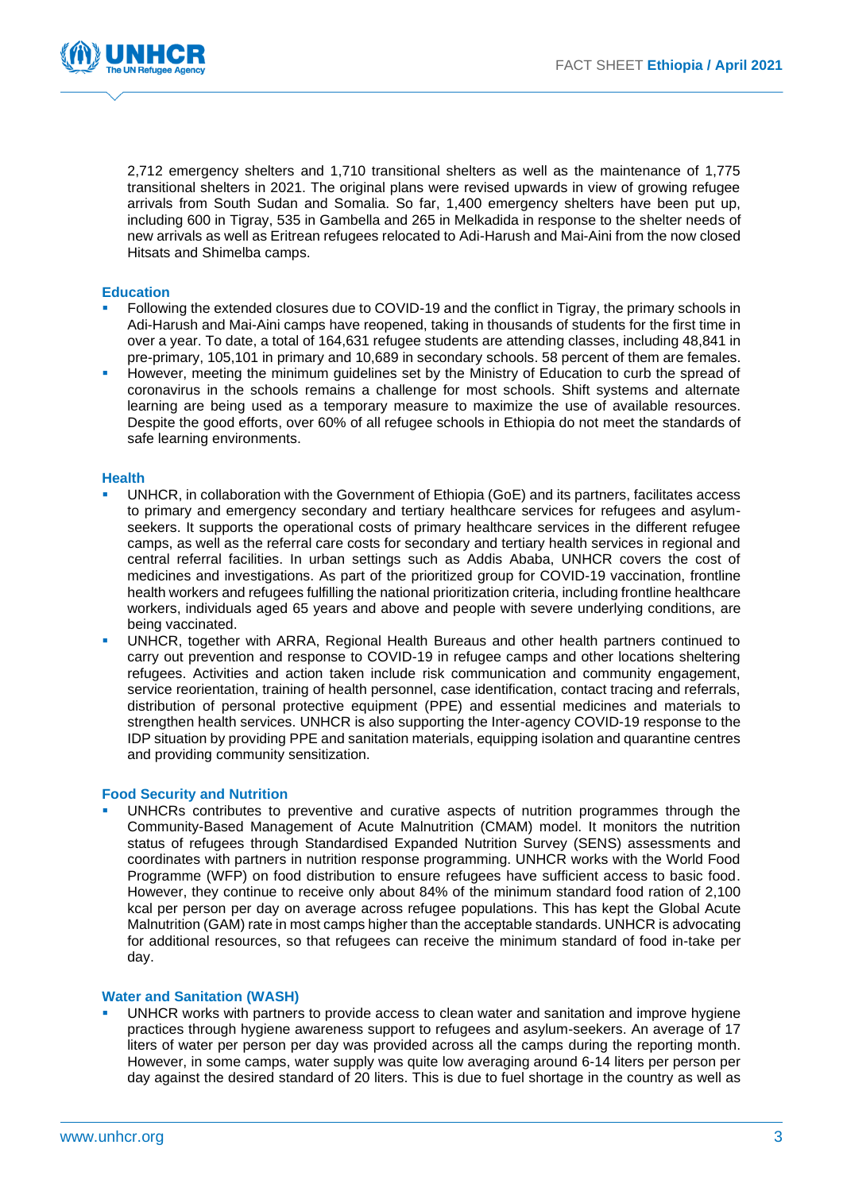

2,712 emergency shelters and 1,710 transitional shelters as well as the maintenance of 1,775 transitional shelters in 2021. The original plans were revised upwards in view of growing refugee arrivals from South Sudan and Somalia. So far, 1,400 emergency shelters have been put up, including 600 in Tigray, 535 in Gambella and 265 in Melkadida in response to the shelter needs of new arrivals as well as Eritrean refugees relocated to Adi-Harush and Mai-Aini from the now closed Hitsats and Shimelba camps.

#### **Education**

- Following the extended closures due to COVID-19 and the conflict in Tigray, the primary schools in Adi-Harush and Mai-Aini camps have reopened, taking in thousands of students for the first time in over a year. To date, a total of 164,631 refugee students are attending classes, including 48,841 in pre-primary, 105,101 in primary and 10,689 in secondary schools. 58 percent of them are females.
- However, meeting the minimum quidelines set by the Ministry of Education to curb the spread of coronavirus in the schools remains a challenge for most schools. Shift systems and alternate learning are being used as a temporary measure to maximize the use of available resources. Despite the good efforts, over 60% of all refugee schools in Ethiopia do not meet the standards of safe learning environments.

#### **Health**

- UNHCR, in collaboration with the Government of Ethiopia (GoE) and its partners, facilitates access to primary and emergency secondary and tertiary healthcare services for refugees and asylumseekers. It supports the operational costs of primary healthcare services in the different refugee camps, as well as the referral care costs for secondary and tertiary health services in regional and central referral facilities. In urban settings such as Addis Ababa, UNHCR covers the cost of medicines and investigations. As part of the prioritized group for COVID-19 vaccination, frontline health workers and refugees fulfilling the national prioritization criteria, including frontline healthcare workers, individuals aged 65 years and above and people with severe underlying conditions, are being vaccinated.
- UNHCR, together with ARRA, Regional Health Bureaus and other health partners continued to carry out prevention and response to COVID-19 in refugee camps and other locations sheltering refugees. Activities and action taken include risk communication and community engagement, service reorientation, training of health personnel, case identification, contact tracing and referrals, distribution of personal protective equipment (PPE) and essential medicines and materials to strengthen health services. UNHCR is also supporting the Inter-agency COVID-19 response to the IDP situation by providing PPE and sanitation materials, equipping isolation and quarantine centres and providing community sensitization.

#### **Food Security and Nutrition**

UNHCRs contributes to preventive and curative aspects of nutrition programmes through the Community-Based Management of Acute Malnutrition (CMAM) model. It monitors the nutrition status of refugees through Standardised Expanded Nutrition Survey (SENS) assessments and coordinates with partners in nutrition response programming. UNHCR works with the World Food Programme (WFP) on food distribution to ensure refugees have sufficient access to basic food. However, they continue to receive only about 84% of the minimum standard food ration of 2,100 kcal per person per day on average across refugee populations. This has kept the Global Acute Malnutrition (GAM) rate in most camps higher than the acceptable standards. UNHCR is advocating for additional resources, so that refugees can receive the minimum standard of food in-take per day.

#### **Water and Sanitation (WASH)**

UNHCR works with partners to provide access to clean water and sanitation and improve hygiene practices through hygiene awareness support to refugees and asylum-seekers. An average of 17 liters of water per person per day was provided across all the camps during the reporting month. However, in some camps, water supply was quite low averaging around 6-14 liters per person per day against the desired standard of 20 liters. This is due to fuel shortage in the country as well as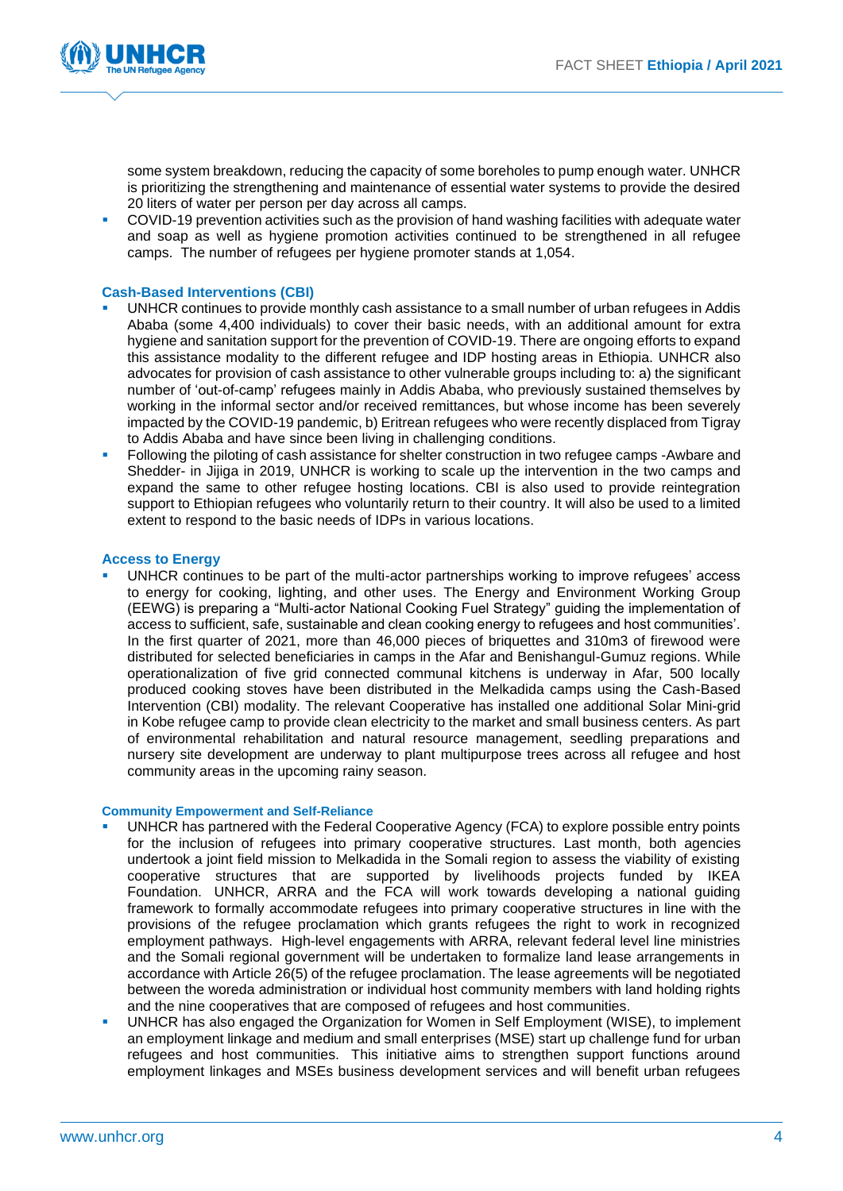

some system breakdown, reducing the capacity of some boreholes to pump enough water. UNHCR is prioritizing the strengthening and maintenance of essential water systems to provide the desired 20 liters of water per person per day across all camps.

COVID-19 prevention activities such as the provision of hand washing facilities with adequate water and soap as well as hygiene promotion activities continued to be strengthened in all refugee camps. The number of refugees per hygiene promoter stands at 1,054.

#### **Cash-Based Interventions (CBI)**

- UNHCR continues to provide monthly cash assistance to a small number of urban refugees in Addis Ababa (some 4,400 individuals) to cover their basic needs, with an additional amount for extra hygiene and sanitation support for the prevention of COVID-19. There are ongoing efforts to expand this assistance modality to the different refugee and IDP hosting areas in Ethiopia. UNHCR also advocates for provision of cash assistance to other vulnerable groups including to: a) the significant number of 'out-of-camp' refugees mainly in Addis Ababa, who previously sustained themselves by working in the informal sector and/or received remittances, but whose income has been severely impacted by the COVID-19 pandemic, b) Eritrean refugees who were recently displaced from Tigray to Addis Ababa and have since been living in challenging conditions.
- Following the piloting of cash assistance for shelter construction in two refugee camps -Awbare and Shedder- in Jijiga in 2019, UNHCR is working to scale up the intervention in the two camps and expand the same to other refugee hosting locations. CBI is also used to provide reintegration support to Ethiopian refugees who voluntarily return to their country. It will also be used to a limited extent to respond to the basic needs of IDPs in various locations.

#### **Access to Energy**

UNHCR continues to be part of the multi-actor partnerships working to improve refugees' access to energy for cooking, lighting, and other uses. The Energy and Environment Working Group (EEWG) is preparing a "Multi-actor National Cooking Fuel Strategy" guiding the implementation of access to sufficient, safe, sustainable and clean cooking energy to refugees and host communities'. In the first quarter of 2021, more than 46,000 pieces of briquettes and 310m3 of firewood were distributed for selected beneficiaries in camps in the Afar and Benishangul-Gumuz regions. While operationalization of five grid connected communal kitchens is underway in Afar, 500 locally produced cooking stoves have been distributed in the Melkadida camps using the Cash-Based Intervention (CBI) modality. The relevant Cooperative has installed one additional Solar Mini-grid in Kobe refugee camp to provide clean electricity to the market and small business centers. As part of environmental rehabilitation and natural resource management, seedling preparations and nursery site development are underway to plant multipurpose trees across all refugee and host community areas in the upcoming rainy season.

#### **Community Empowerment and Self-Reliance**

- UNHCR has partnered with the Federal Cooperative Agency (FCA) to explore possible entry points for the inclusion of refugees into primary cooperative structures. Last month, both agencies undertook a joint field mission to Melkadida in the Somali region to assess the viability of existing cooperative structures that are supported by livelihoods projects funded by IKEA Foundation. UNHCR, ARRA and the FCA will work towards developing a national guiding framework to formally accommodate refugees into primary cooperative structures in line with the provisions of the refugee proclamation which grants refugees the right to work in recognized employment pathways. High-level engagements with ARRA, relevant federal level line ministries and the Somali regional government will be undertaken to formalize land lease arrangements in accordance with Article 26(5) of the refugee proclamation. The lease agreements will be negotiated between the woreda administration or individual host community members with land holding rights and the nine cooperatives that are composed of refugees and host communities.
- UNHCR has also engaged the Organization for Women in Self Employment (WISE), to implement an employment linkage and medium and small enterprises (MSE) start up challenge fund for urban refugees and host communities. This initiative aims to strengthen support functions around employment linkages and MSEs business development services and will benefit urban refugees